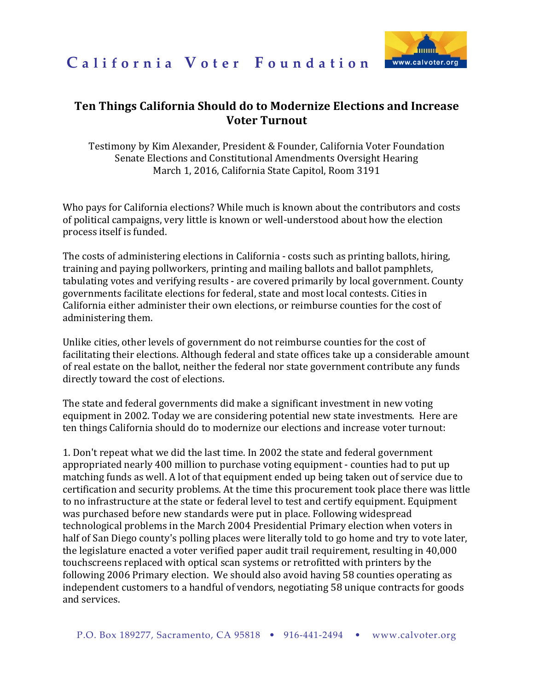



## **Ten Things California Should do to Modernize Elections and Increase Voter Turnout**

Testimony by Kim Alexander, President & Founder, California Voter Foundation Senate Elections and Constitutional Amendments Oversight Hearing March 1, 2016, California State Capitol, Room 3191

Who pays for California elections? While much is known about the contributors and costs of political campaigns, very little is known or well-understood about how the election process itself is funded.

The costs of administering elections in California - costs such as printing ballots, hiring, training and paying pollworkers, printing and mailing ballots and ballot pamphlets, tabulating votes and verifying results - are covered primarily by local government. County governments facilitate elections for federal, state and most local contests. Cities in California either administer their own elections, or reimburse counties for the cost of administering them.

Unlike cities, other levels of government do not reimburse counties for the cost of facilitating their elections. Although federal and state offices take up a considerable amount of real estate on the ballot, neither the federal nor state government contribute any funds directly toward the cost of elections.

The state and federal governments did make a significant investment in new voting equipment in 2002. Today we are considering potential new state investments. Here are ten things California should do to modernize our elections and increase voter turnout:

1. Don't repeat what we did the last time. In 2002 the state and federal government appropriated nearly 400 million to purchase voting equipment - counties had to put up matching funds as well. A lot of that equipment ended up being taken out of service due to certification and security problems. At the time this procurement took place there was little to no infrastructure at the state or federal level to test and certify equipment. Equipment was purchased before new standards were put in place. Following widespread technological problems in the March 2004 Presidential Primary election when voters in half of San Diego county's polling places were literally told to go home and try to vote later, the legislature enacted a voter verified paper audit trail requirement, resulting in 40,000 touchscreens replaced with optical scan systems or retrofitted with printers by the following 2006 Primary election. We should also avoid having 58 counties operating as independent customers to a handful of vendors, negotiating 58 unique contracts for goods and services.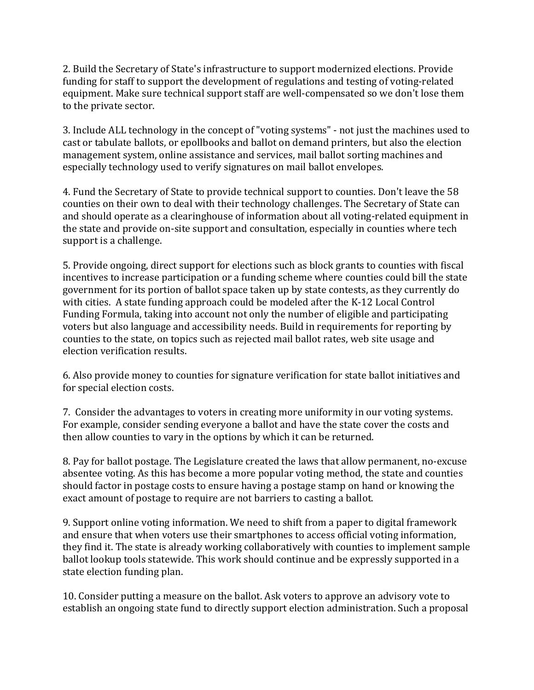2. Build the Secretary of State's infrastructure to support modernized elections. Provide funding for staff to support the development of regulations and testing of voting-related equipment. Make sure technical support staff are well-compensated so we don't lose them to the private sector.

3. Include ALL technology in the concept of "voting systems" - not just the machines used to cast or tabulate ballots, or epollbooks and ballot on demand printers, but also the election management system, online assistance and services, mail ballot sorting machines and especially technology used to verify signatures on mail ballot envelopes.

4. Fund the Secretary of State to provide technical support to counties. Don't leave the 58 counties on their own to deal with their technology challenges. The Secretary of State can and should operate as a clearinghouse of information about all voting-related equipment in the state and provide on-site support and consultation, especially in counties where tech support is a challenge.

5. Provide ongoing, direct support for elections such as block grants to counties with fiscal incentives to increase participation or a funding scheme where counties could bill the state government for its portion of ballot space taken up by state contests, as they currently do with cities. A state funding approach could be modeled after the K-12 Local Control Funding Formula, taking into account not only the number of eligible and participating voters but also language and accessibility needs. Build in requirements for reporting by counties to the state, on topics such as rejected mail ballot rates, web site usage and election verification results.

6. Also provide money to counties for signature verification for state ballot initiatives and for special election costs.

7. Consider the advantages to voters in creating more uniformity in our voting systems. For example, consider sending everyone a ballot and have the state cover the costs and then allow counties to vary in the options by which it can be returned.

8. Pay for ballot postage. The Legislature created the laws that allow permanent, no-excuse absentee voting. As this has become a more popular voting method, the state and counties should factor in postage costs to ensure having a postage stamp on hand or knowing the exact amount of postage to require are not barriers to casting a ballot.

9. Support online voting information. We need to shift from a paper to digital framework and ensure that when voters use their smartphones to access official voting information, they find it. The state is already working collaboratively with counties to implement sample ballot lookup tools statewide. This work should continue and be expressly supported in a state election funding plan.

10. Consider putting a measure on the ballot. Ask voters to approve an advisory vote to establish an ongoing state fund to directly support election administration. Such a proposal